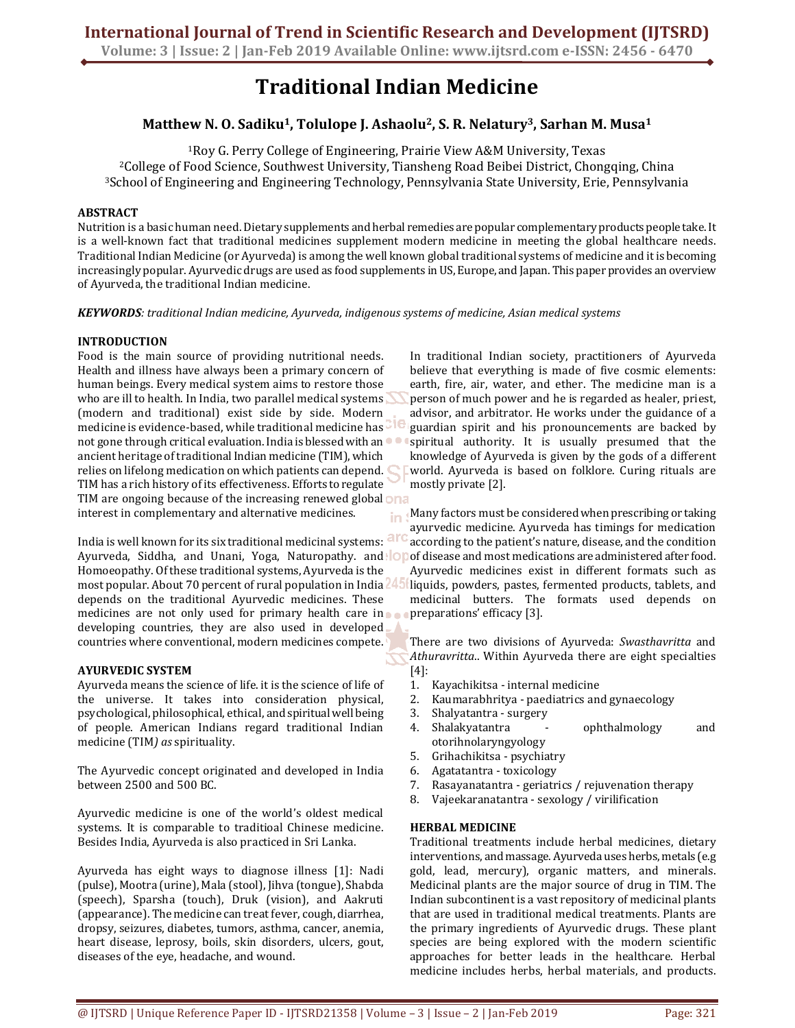# **Traditional Indian Medicine**

## **Matthew N. O. Sadiku1, Tolulope J. Ashaolu2, S. R. Nelatury3, Sarhan M. Musa<sup>1</sup>**

<sup>1</sup>Roy G. Perry College of Engineering, Prairie View A&M University, Texas <sup>2</sup>College of Food Science, Southwest University, Tiansheng Road Beibei District, Chongqing, China <sup>3</sup>School of Engineering and Engineering Technology, Pennsylvania State University, Erie, Pennsylvania

#### **ABSTRACT**

Nutrition is a basic human need. Dietary supplements and herbal remedies are popular complementary products people take. It is a well-known fact that traditional medicines supplement modern medicine in meeting the global healthcare needs. Traditional Indian Medicine (or Ayurveda) is among the well known global traditional systems of medicine and it is becoming increasingly popular. Ayurvedic drugs are used as food supplements in US, Europe, and Japan. This paper provides an overview of Ayurveda, the traditional Indian medicine.

*KEYWORDS: traditional Indian medicine, Ayurveda, indigenous systems of medicine, Asian medical systems* 

#### **INTRODUCTION**

Food is the main source of providing nutritional needs. Health and illness have always been a primary concern of human beings. Every medical system aims to restore those who are ill to health. In India, two parallel medical systems (modern and traditional) exist side by side. Modern medicine is evidence-based, while traditional medicine has not gone through critical evaluation. India is blessed with an ancient heritage of traditional Indian medicine (TIM), which relies on lifelong medication on which patients can depend. TIM has a rich history of its effectiveness. Efforts to regulate TIM are ongoing because of the increasing renewed global ona interest in complementary and alternative medicines.

India is well known for its six traditional medicinal systems: arc Ayurveda, Siddha, and Unani, Yoga, Naturopathy. and **Op** of disease and most medications are administered after food. Homoeopathy. Of these traditional systems, Ayurveda is the most popular. About 70 percent of rural population in India depends on the traditional Ayurvedic medicines. These medicines are not only used for primary health care in developing countries, they are also used in developed countries where conventional, modern medicines compete.

#### **AYURVEDIC SYSTEM**

Ayurveda means the science of life. it is the science of life of the universe. It takes into consideration physical, psychological, philosophical, ethical, and spiritual well being of people. American Indians regard traditional Indian medicine (TIM*) as* spirituality.

The Ayurvedic concept originated and developed in India between 2500 and 500 BC.

Ayurvedic medicine is one of the world's oldest medical systems. It is comparable to traditioal Chinese medicine. Besides India, Ayurveda is also practiced in Sri Lanka.

Ayurveda has eight ways to diagnose illness [1]: Nadi (pulse), Mootra (urine), Mala (stool), Jihva (tongue), Shabda (speech), Sparsha (touch), Druk (vision), and Aakruti (appearance). The medicine can treat fever, cough, diarrhea, dropsy, seizures, diabetes, tumors, asthma, cancer, anemia, heart disease, leprosy, boils, skin disorders, ulcers, gout, diseases of the eye, headache, and wound.

In traditional Indian society, practitioners of Ayurveda believe that everything is made of five cosmic elements: earth, fire, air, water, and ether. The medicine man is a person of much power and he is regarded as healer, priest, advisor, and arbitrator. He works under the guidance of a guardian spirit and his pronouncements are backed by spiritual authority. It is usually presumed that the knowledge of Ayurveda is given by the gods of a different world. Ayurveda is based on folklore. Curing rituals are mostly private [2].

Many factors must be considered when prescribing or taking ayurvedic medicine. Ayurveda has timings for medication according to the patient's nature, disease, and the condition Ayurvedic medicines exist in different formats such as liquids, powders, pastes, fermented products, tablets, and medicinal butters. The formats used depends on preparations' efficacy [3].

There are two divisions of Ayurveda: *Swasthavritta* and *Athuravritta*.. Within Ayurveda there are eight specialties [4]:

- 1. Kayachikitsa internal medicine
- 2. Kaumarabhritya paediatrics and gynaecology
- 3. Shalyatantra surgery
- 4. Shalakyatantra ophthalmology and otorihnolaryngyology
- 5. Grihachikitsa psychiatry
- 6. Agatatantra toxicology
- 7. Rasayanatantra geriatrics / rejuvenation therapy
- 8. Vajeekaranatantra sexology / virilification

#### **HERBAL MEDICINE**

Traditional treatments include herbal medicines, dietary interventions, and massage. Ayurveda uses herbs, metals (e.g gold, lead, mercury), organic matters, and minerals. Medicinal plants are the major source of drug in TIM. The Indian subcontinent is a vast repository of medicinal plants that are used in traditional medical treatments. Plants are the primary ingredients of Ayurvedic drugs. These plant species are being explored with the modern scientific approaches for better leads in the healthcare. Herbal medicine includes herbs, herbal materials, and products.